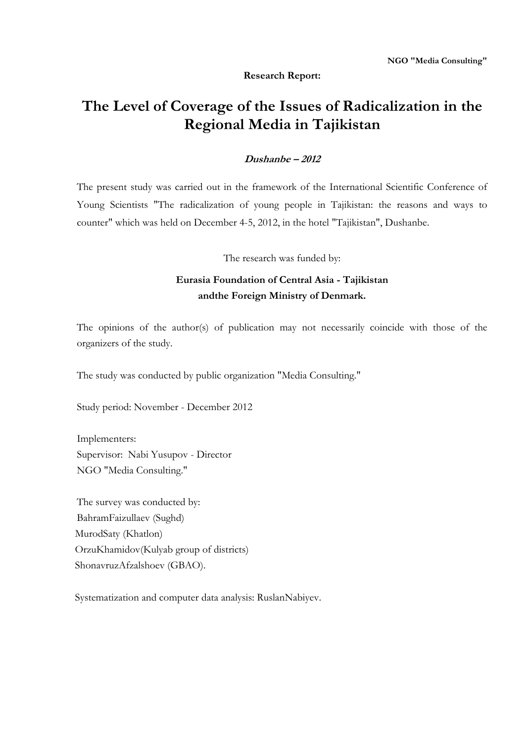# **Research Report:**

# **The Level of Coverage of the Issues of Radicalization in the Regional Media in Tajikistan**

# **Dushanbe – 2012**

The present study was carried out in the framework of the International Scientific Conference of Young Scientists "The radicalization of young people in Tajikistan: the reasons and ways to counter" which was held on December 4-5, 2012, in the hotel "Tajikistan", Dushanbe.

The research was funded by:

# **Eurasia Foundation of Central Asia - Tajikistan andthe Foreign Ministry of Denmark.**

The opinions of the author(s) of publication may not necessarily coincide with those of the organizers of the study.

The study was conducted by public organization "Media Consulting."

Study period: November - December 2012

Implementers: Supervisor: Nabi Yusupov - Director NGO "Media Consulting."

The survey was conducted by: BahramFaizullaev (Sughd) MurodSaty (Khatlon) OrzuKhamidov(Kulyab group of districts) ShonavruzAfzalshoev (GBAO).

Systematization and computer data analysis: RuslanNabiyev.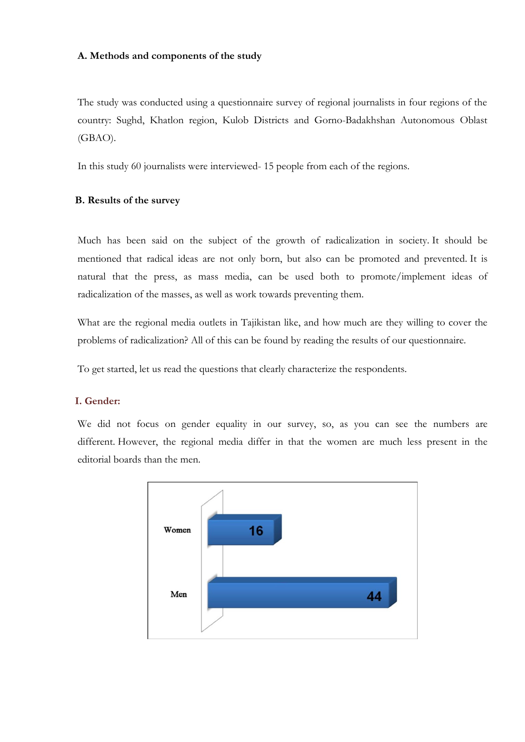#### **A. Methods and components of the study**

The study was conducted using a questionnaire survey of regional journalists in four regions of the country: Sughd, Khatlon region, Kulob Districts and Gorno-Badakhshan Autonomous Oblast (GBAO).

In this study 60 journalists were interviewed- 15 people from each of the regions.

### **B. Results of the survey**

Much has been said on the subject of the growth of radicalization in society. It should be mentioned that radical ideas are not only born, but also can be promoted and prevented. It is natural that the press, as mass media, can be used both to promote/implement ideas of radicalization of the masses, as well as work towards preventing them.

What are the regional media outlets in Tajikistan like, and how much are they willing to cover the problems of radicalization? All of this can be found by reading the results of our questionnaire.

To get started, let us read the questions that clearly characterize the respondents.

# **I. Gender:**

We did not focus on gender equality in our survey, so, as you can see the numbers are different. However, the regional media differ in that the women are much less present in the editorial boards than the men.

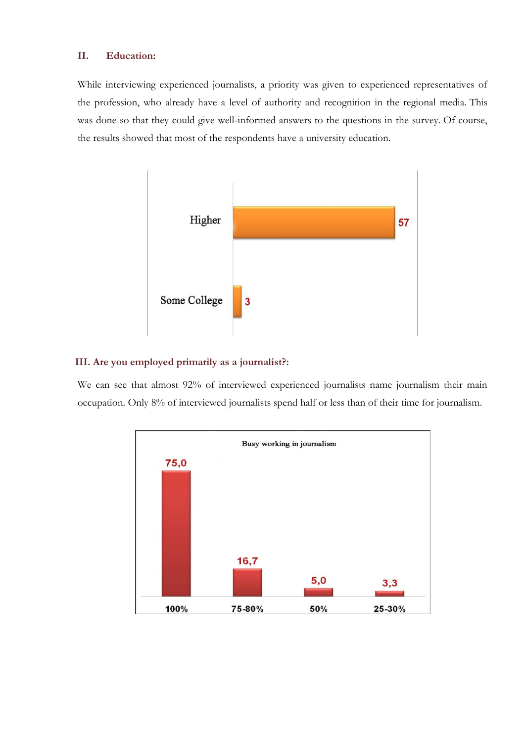# **II. Education:**

While interviewing experienced journalists, a priority was given to experienced representatives of the profession, who already have a level of authority and recognition in the regional media. This was done so that they could give well-informed answers to the questions in the survey. Of course, the results showed that most of the respondents have a university education.



#### **III. Are you employed primarily as a journalist?:**

We can see that almost 92% of interviewed experienced journalists name journalism their main occupation. Only 8% of interviewed journalists spend half or less than of their time for journalism.

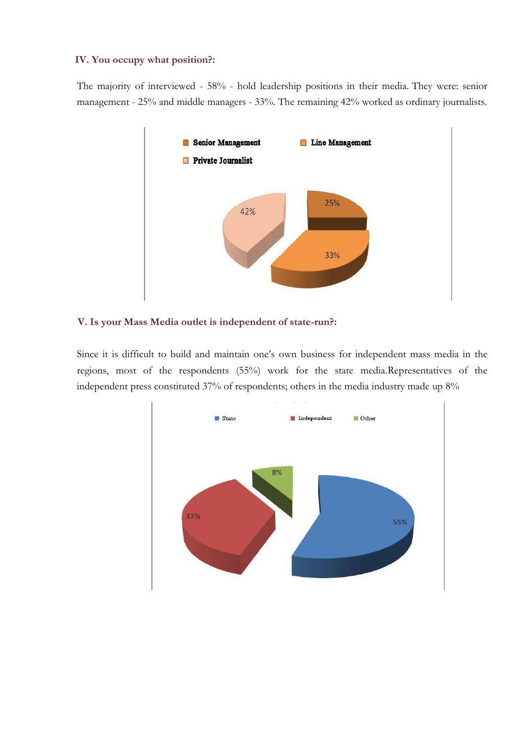# **IV. You occupy what position?:**

The majority of interviewed - 58% - hold leadership positions in their media. They were: senior management - 25% and middle managers - 33%. The remaining 42% worked as ordinary journalists.



#### **V. Is your Mass Media outlet is independent of state-run?:**

Since it is difficult to build and maintain one's own business for independent mass media in the regions, most of the respondents (55%) work for the state media.Representatives of the independent press constituted 37% of respondents; others in the media industry made up 8%

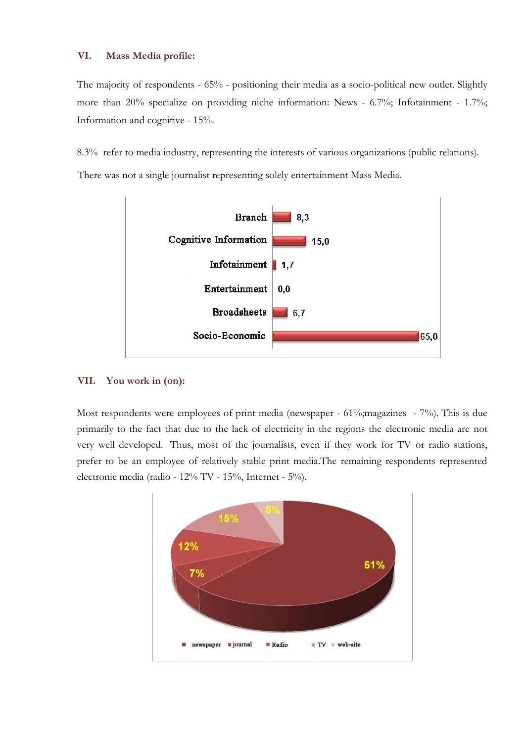# **VI. Mass Media profile:**

The majority of respondents - 65% - positioning their media as a socio-political new outlet. Slightly more than 20% specialize on providing niche information: News - 6.7%; Infotainment - 1.7%; Information and cognitive - 15%.

8.3% refer to media industry, representing the interests of various organizations (public relations).

There was not a single journalist representing solely entertainment Mass Media.



# **VII. You work in (on):**

Most respondents were employees of print media (newspaper - 61%; magazines - 7%). This is due primarily to the fact that due to the lack of electricity in the regions the electronic media are not very well developed. Thus, most of the journalists, even if they work for TV or radio stations, prefer to be an employee of relatively stable print media.The remaining respondents represented electronic media (radio - 12% TV - 15%, Internet - 5%).

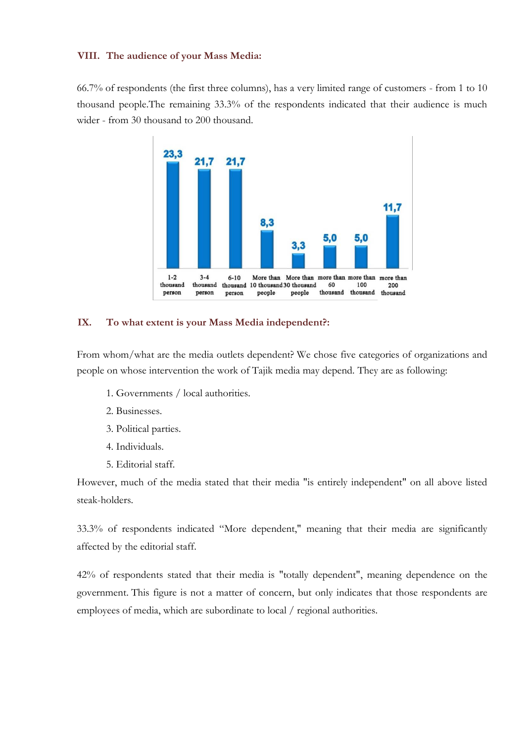#### **VIII. The audience of your Mass Media:**

66.7% of respondents (the first three columns), has a very limited range of customers - from 1 to 10 thousand people.The remaining 33.3% of the respondents indicated that their audience is much wider - from 30 thousand to 200 thousand.



#### **IX. To what extent is your Mass Media independent?:**

From whom/what are the media outlets dependent? We chose five categories of organizations and people on whose intervention the work of Tajik media may depend. They are as following:

- 1. Governments / local authorities.
- 2. Businesses.
- 3. Political parties.
- 4. Individuals.
- 5. Editorial staff.

However, much of the media stated that their media "is entirely independent" on all above listed steak-holders.

33.3% of respondents indicated "More dependent," meaning that their media are significantly affected by the editorial staff.

42% of respondents stated that their media is "totally dependent", meaning dependence on the government. This figure is not a matter of concern, but only indicates that those respondents are employees of media, which are subordinate to local / regional authorities.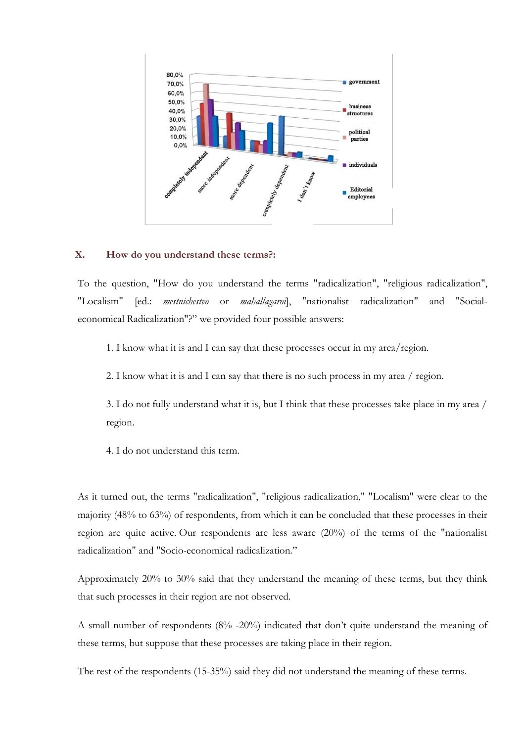

#### **X. How do you understand these terms?:**

To the question, "How do you understand the terms "radicalization", "religious radicalization", "Localism" [ed.: *mestnichestvo* or *mahallagaroi*], "nationalist radicalization" and "Socialeconomical Radicalization"?" we provided four possible answers:

1. I know what it is and I can say that these processes occur in my area/region.

2. I know what it is and I can say that there is no such process in my area / region.

3. I do not fully understand what it is, but I think that these processes take place in my area / region.

4. I do not understand this term.

As it turned out, the terms "radicalization", "religious radicalization," "Localism" were clear to the majority (48% to 63%) of respondents, from which it can be concluded that these processes in their region are quite active. Our respondents are less aware (20%) of the terms of the "nationalist radicalization" and "Socio-economical radicalization."

Approximately 20% to 30% said that they understand the meaning of these terms, but they think that such processes in their region are not observed.

A small number of respondents (8% -20%) indicated that don't quite understand the meaning of these terms, but suppose that these processes are taking place in their region.

The rest of the respondents (15-35%) said they did not understand the meaning of these terms.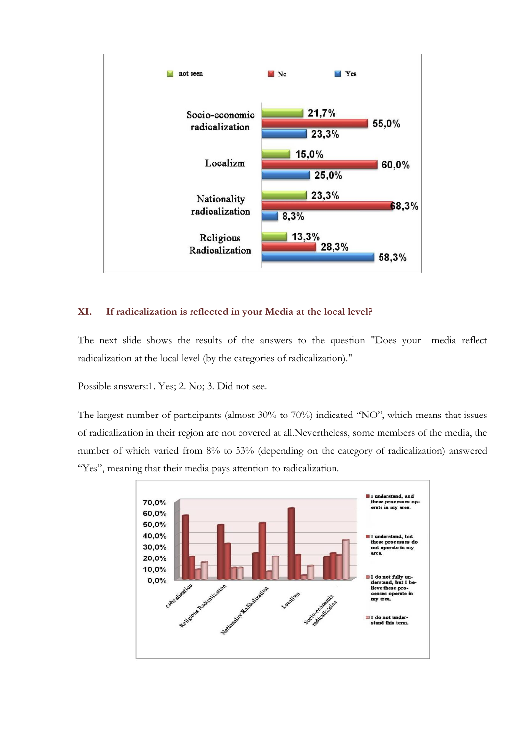

# **XI. If radicalization is reflected in your Media at the local level?**

The next slide shows the results of the answers to the question "Does your media reflect radicalization at the local level (by the categories of radicalization)."

Possible answers:1. Yes; 2. No; 3. Did not see.

The largest number of participants (almost 30% to 70%) indicated "NO", which means that issues of radicalization in their region are not covered at all.Nevertheless, some members of the media, the number of which varied from 8% to 53% (depending on the category of radicalization) answered "Yes", meaning that their media pays attention to radicalization.

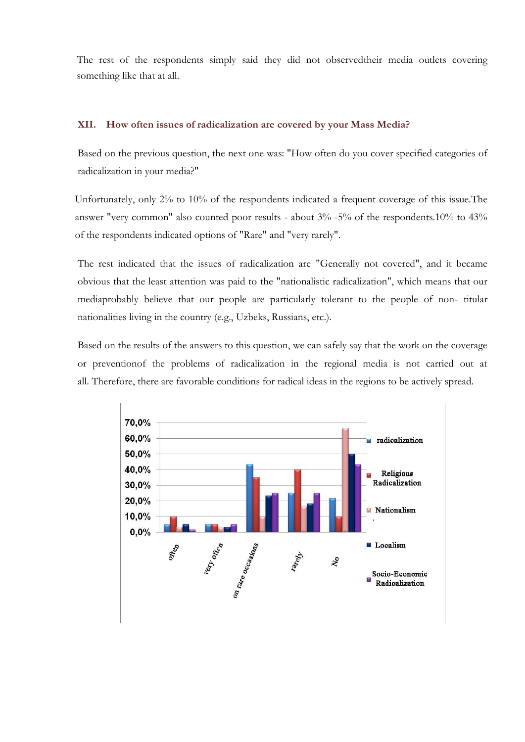The rest of the respondents simply said they did not observedtheir media outlets covering something like that at all.

# **ХII. How often issues of radicalization are covered by your Mass Media?**

Based on the previous question, the next one was: "How often do you cover specified categories of radicalization in your media?"

Unfortunately, only 2% to 10% of the respondents indicated a frequent coverage of this issue.The answer "very common" also counted poor results - about 3% -5% of the respondents.10% to 43% of the respondents indicated options of "Rare" and "very rarely".

The rest indicated that the issues of radicalization are "Generally not covered", and it became obvious that the least attention was paid to the "nationalistic radicalization", which means that our mediaprobably believe that our people are particularly tolerant to the people of non- titular nationalities living in the country (e.g., Uzbeks, Russians, etc.).

Based on the results of the answers to this question, we can safely say that the work on the coverage or preventionof the problems of radicalization in the regional media is not carried out at all. Therefore, there are favorable conditions for radical ideas in the regions to be actively spread.

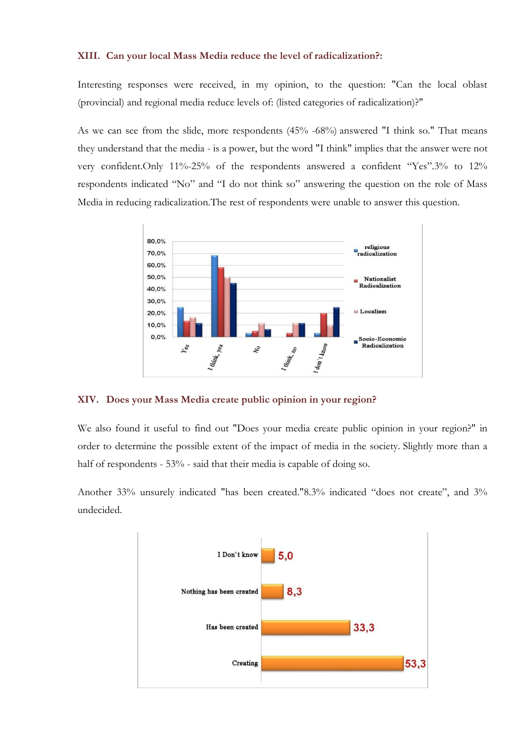#### **XIII. Can your local Mass Media reduce the level of radicalization?:**

Interesting responses were received, in my opinion, to the question: "Can the local oblast (provincial) and regional media reduce levels of: (listed categories of radicalization)?"

As we can see from the slide, more respondents (45% -68%) answered "I think so." That means they understand that the media - is a power, but the word "I think" implies that the answer were not very confident.Only 11%-25% of the respondents answered a confident "Yes".3% to 12% respondents indicated "No" and "I do not think so" answering the question on the role of Mass Media in reducing radicalization.The rest of respondents were unable to answer this question.



#### **XIV. Does your Mass Media create public opinion in your region?**

We also found it useful to find out "Does your media create public opinion in your region?" in order to determine the possible extent of the impact of media in the society. Slightly more than a half of respondents - 53% - said that their media is capable of doing so.

Another 33% unsurely indicated "has been created."8.3% indicated "does not create", and 3% undecided.

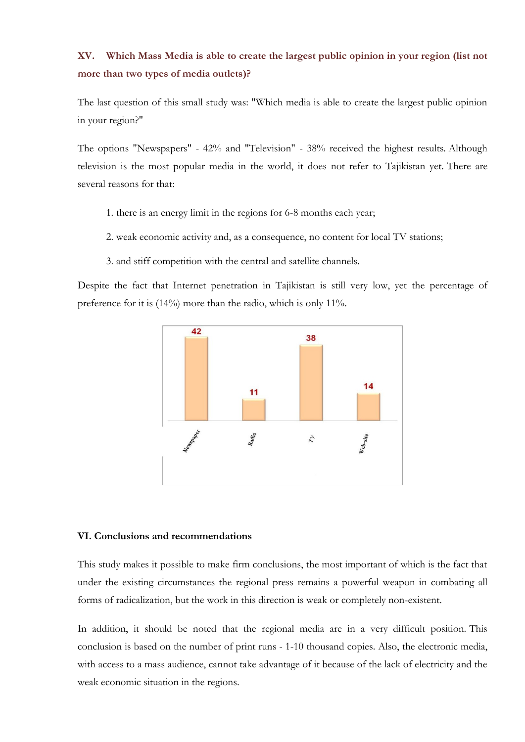# **XV. Which Mass Media is able to create the largest public opinion in your region (list not more than two types of media outlets)?**

The last question of this small study was: "Which media is able to create the largest public opinion in your region?"

The options "Newspapers" - 42% and "Television" - 38% received the highest results. Although television is the most popular media in the world, it does not refer to Tajikistan yet. There are several reasons for that:

- 1. there is an energy limit in the regions for 6-8 months each year;
- 2. weak economic activity and, as a consequence, no content for local TV stations;
- 3. and stiff competition with the central and satellite channels.

Despite the fact that Internet penetration in Tajikistan is still very low, yet the percentage of preference for it is (14%) more than the radio, which is only 11%.



#### **VI. Conclusions and recommendations**

This study makes it possible to make firm conclusions, the most important of which is the fact that under the existing circumstances the regional press remains a powerful weapon in combating all forms of radicalization, but the work in this direction is weak or completely non-existent.

In addition, it should be noted that the regional media are in a very difficult position. This conclusion is based on the number of print runs - 1-10 thousand copies. Also, the electronic media, with access to a mass audience, cannot take advantage of it because of the lack of electricity and the weak economic situation in the regions.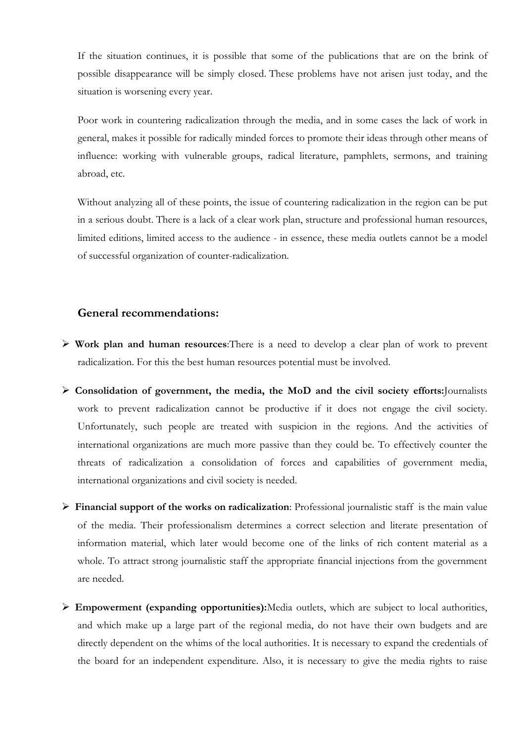If the situation continues, it is possible that some of the publications that are on the brink of possible disappearance will be simply closed. These problems have not arisen just today, and the situation is worsening every year.

Poor work in countering radicalization through the media, and in some cases the lack of work in general, makes it possible for radically minded forces to promote their ideas through other means of influence: working with vulnerable groups, radical literature, pamphlets, sermons, and training abroad, etc.

Without analyzing all of these points, the issue of countering radicalization in the region can be put in a serious doubt. There is a lack of a clear work plan, structure and professional human resources, limited editions, limited access to the audience - in essence, these media outlets cannot be a model of successful organization of counter-radicalization.

# **General recommendations:**

- **Work plan and human resources**:There is a need to develop a clear plan of work to prevent radicalization. For this the best human resources potential must be involved.
- **Consolidation of government, the media, the MoD and the civil society efforts:**Journalists work to prevent radicalization cannot be productive if it does not engage the civil society. Unfortunately, such people are treated with suspicion in the regions. And the activities of international organizations are much more passive than they could be. To effectively counter the threats of radicalization a consolidation of forces and capabilities of government media, international organizations and civil society is needed.
- **Financial support of the works on radicalization**: Professional journalistic staff is the main value of the media. Their professionalism determines a correct selection and literate presentation of information material, which later would become one of the links of rich content material as a whole. To attract strong journalistic staff the appropriate financial injections from the government are needed.
- **Empowerment (expanding opportunities):**Media outlets, which are subject to local authorities, and which make up a large part of the regional media, do not have their own budgets and are directly dependent on the whims of the local authorities. It is necessary to expand the credentials of the board for an independent expenditure. Also, it is necessary to give the media rights to raise